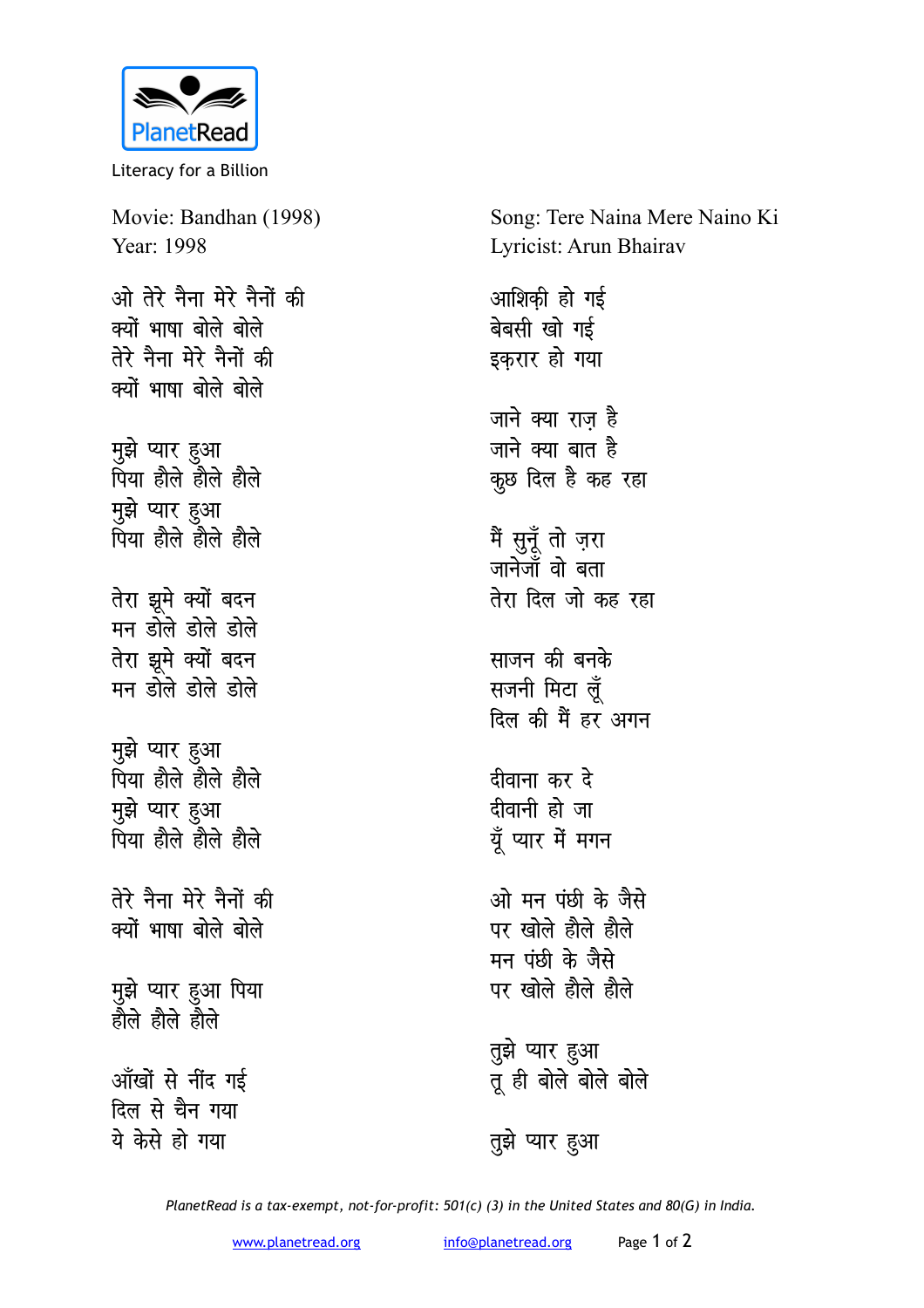

Literacy for a Billion

Movie: Bandhan (1998) Year: 1998 ओ तेरे नैना मेरे नैनों की क्यों भाषा बोले बोले तेरे नैना मेरे नैनों की क्यों भाषा बोले बोले मुझे प्यार हुआ पिया हौले हौले हौले मुझे प्यार हुआ पिया होले होले होले तेरा झूमे क्यों बदन मन डोले डोले डोले तेरा झूमे क्यों बदन मन होले होले होले मुझे प्यार हुआ पिया होले होले होले मुझे प्यार हुआ पिया होले होले होले तेरे नैना मेरे नैनों की क्यों भाषा बोले बोले मुझे प्यार हुआ पिया<br>हौले हौले हौले आँखों से नींद गई

दिल से चैन गया ये केसे हो गया

Song: Tere Naina Mere Naino Ki Lyricist: Arun Bhairav

आशिकी हो गई बेबसी खो गई इकरार हो गया जाने क्या राज है जाने क्या बात है कूछ दिल है कह रहा मैं सुनूँ तो ज़रा जानेजॉं वो बता तेरा दिल जो कह रहा साजन की बनके सजनी मिटा लूँ दिल की मैं हर अगन दीवाना कर दे दीवानी हो जा यूँ प्यार में मगन ओ मन पंछी के जैसे पर खोले होले होले मन पंछी के जैसे पर खोले होले होले तुझे प्यार हुआ<br>तू ही बोले बोले बोले

PlanetRead is a tax-exempt, not-for-profit: 501(c) (3) in the United States and 80(G) in India.

तुझे प्यार हुआ